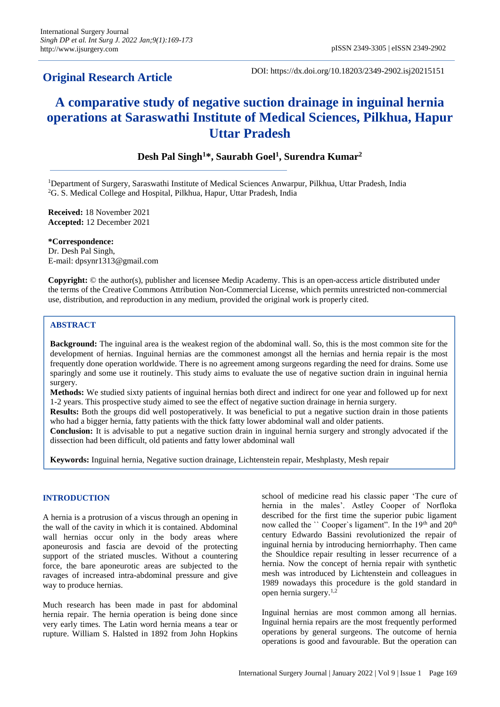# **Original Research Article**

DOI: https://dx.doi.org/10.18203/2349-2902.isj20215151

# **A comparative study of negative suction drainage in inguinal hernia operations at Saraswathi Institute of Medical Sciences, Pilkhua, Hapur Uttar Pradesh**

# **Desh Pal Singh<sup>1</sup>\*, Saurabh Goel<sup>1</sup> , Surendra Kumar<sup>2</sup>**

<sup>1</sup>Department of Surgery, Saraswathi Institute of Medical Sciences Anwarpur, Pilkhua, Uttar Pradesh, India <sup>2</sup>G. S. Medical College and Hospital, Pilkhua, Hapur, Uttar Pradesh, India

**Received:** 18 November 2021 **Accepted:** 12 December 2021

**\*Correspondence:** Dr. Desh Pal Singh, E-mail: dpsynr1313@gmail.com

**Copyright:** © the author(s), publisher and licensee Medip Academy. This is an open-access article distributed under the terms of the Creative Commons Attribution Non-Commercial License, which permits unrestricted non-commercial use, distribution, and reproduction in any medium, provided the original work is properly cited.

# **ABSTRACT**

**Background:** The inguinal area is the weakest region of the abdominal wall. So, this is the most common site for the development of hernias. Inguinal hernias are the commonest amongst all the hernias and hernia repair is the most frequently done operation worldwide. There is no agreement among surgeons regarding the need for drains. Some use sparingly and some use it routinely. This study aims to evaluate the use of negative suction drain in inguinal hernia surgery.

**Methods:** We studied sixty patients of inguinal hernias both direct and indirect for one year and followed up for next 1-2 years. This prospective study aimed to see the effect of negative suction drainage in hernia surgery.

**Results:** Both the groups did well postoperatively. It was beneficial to put a negative suction drain in those patients who had a bigger hernia, fatty patients with the thick fatty lower abdominal wall and older patients.

**Conclusion:** It is advisable to put a negative suction drain in inguinal hernia surgery and strongly advocated if the dissection had been difficult, old patients and fatty lower abdominal wall

**Keywords:** Inguinal hernia, Negative suction drainage, Lichtenstein repair, Meshplasty, Mesh repair

# **INTRODUCTION**

A hernia is a protrusion of a viscus through an opening in the wall of the cavity in which it is contained. Abdominal wall hernias occur only in the body areas where aponeurosis and fascia are devoid of the protecting support of the striated muscles. Without a countering force, the bare aponeurotic areas are subjected to the ravages of increased intra-abdominal pressure and give way to produce hernias.

Much research has been made in past for abdominal hernia repair. The hernia operation is being done since very early times. The Latin word hernia means a tear or rupture. William S. Halsted in 1892 from John Hopkins school of medicine read his classic paper 'The cure of hernia in the males'. Astley Cooper of Norfloka described for the first time the superior pubic ligament now called the `` Cooper`s ligament". In the 19<sup>th</sup> and 20<sup>th</sup> century Edwardo Bassini revolutionized the repair of inguinal hernia by introducing herniorrhaphy. Then came the Shouldice repair resulting in lesser recurrence of a hernia. Now the concept of hernia repair with synthetic mesh was introduced by Lichtenstein and colleagues in 1989 nowadays this procedure is the gold standard in open hernia surgery.1,2

Inguinal hernias are most common among all hernias. Inguinal hernia repairs are the most frequently performed operations by general surgeons. The outcome of hernia operations is good and favourable. But the operation can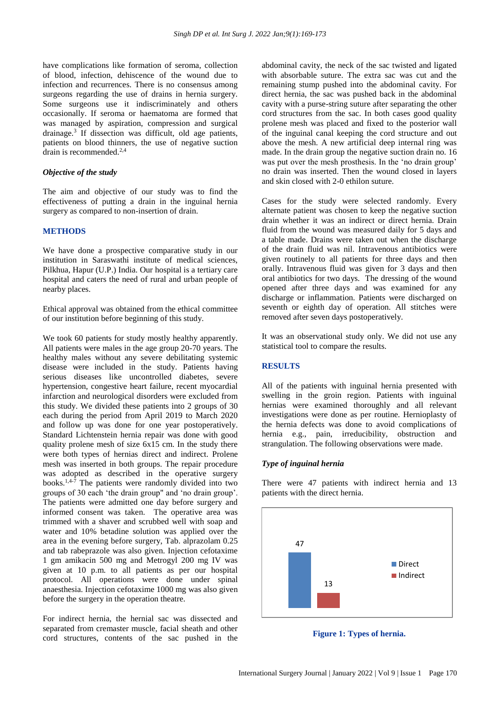have complications like formation of seroma, collection of blood, infection, dehiscence of the wound due to infection and recurrences. There is no consensus among surgeons regarding the use of drains in hernia surgery. Some surgeons use it indiscriminately and others occasionally. If seroma or haematoma are formed that was managed by aspiration, compression and surgical drainage.<sup>3</sup> If dissection was difficult, old age patients, patients on blood thinners, the use of negative suction  $d$ rain is recommended.<sup>2,4</sup>

# *Objective of the study*

The aim and objective of our study was to find the effectiveness of putting a drain in the inguinal hernia surgery as compared to non-insertion of drain.

#### **METHODS**

We have done a prospective comparative study in our institution in Saraswathi institute of medical sciences, Pilkhua, Hapur (U.P.) India. Our hospital is a tertiary care hospital and caters the need of rural and urban people of nearby places.

Ethical approval was obtained from the ethical committee of our institution before beginning of this study.

We took 60 patients for study mostly healthy apparently. All patients were males in the age group 20-70 years. The healthy males without any severe debilitating systemic disease were included in the study. Patients having serious diseases like uncontrolled diabetes, severe hypertension, congestive heart failure, recent myocardial infarction and neurological disorders were excluded from this study. We divided these patients into 2 groups of 30 each during the period from April 2019 to March 2020 and follow up was done for one year postoperatively. Standard Lichtenstein hernia repair was done with good quality prolene mesh of size 6x15 cm. In the study there were both types of hernias direct and indirect. Prolene mesh was inserted in both groups. The repair procedure was adopted as described in the operative surgery books.<sup>1,4-7</sup> The patients were randomly divided into two groups of 30 each 'the drain group" and 'no drain group'. The patients were admitted one day before surgery and informed consent was taken. The operative area was trimmed with a shaver and scrubbed well with soap and water and 10% betadine solution was applied over the area in the evening before surgery, Tab. alprazolam 0.25 and tab rabeprazole was also given. Injection cefotaxime 1 gm amikacin 500 mg and Metrogyl 200 mg IV was given at 10 p.m. to all patients as per our hospital protocol. All operations were done under spinal anaesthesia. Injection cefotaxime 1000 mg was also given before the surgery in the operation theatre.

For indirect hernia, the hernial sac was dissected and separated from cremaster muscle, facial sheath and other cord structures, contents of the sac pushed in the abdominal cavity, the neck of the sac twisted and ligated with absorbable suture. The extra sac was cut and the remaining stump pushed into the abdominal cavity. For direct hernia, the sac was pushed back in the abdominal cavity with a purse-string suture after separating the other cord structures from the sac. In both cases good quality prolene mesh was placed and fixed to the posterior wall of the inguinal canal keeping the cord structure and out above the mesh. A new artificial deep internal ring was made. In the drain group the negative suction drain no. 16 was put over the mesh prosthesis. In the 'no drain group' no drain was inserted. Then the wound closed in layers and skin closed with 2-0 ethilon suture.

Cases for the study were selected randomly. Every alternate patient was chosen to keep the negative suction drain whether it was an indirect or direct hernia. Drain fluid from the wound was measured daily for 5 days and a table made. Drains were taken out when the discharge of the drain fluid was nil. Intravenous antibiotics were given routinely to all patients for three days and then orally. Intravenous fluid was given for 3 days and then oral antibiotics for two days. The dressing of the wound opened after three days and was examined for any discharge or inflammation. Patients were discharged on seventh or eighth day of operation. All stitches were removed after seven days postoperatively.

It was an observational study only. We did not use any statistical tool to compare the results.

### **RESULTS**

All of the patients with inguinal hernia presented with swelling in the groin region. Patients with inguinal hernias were examined thoroughly and all relevant investigations were done as per routine. Hernioplasty of the hernia defects was done to avoid complications of hernia e.g., pain, irreducibility, obstruction and strangulation. The following observations were made.

#### *Type of inguinal hernia*

There were 47 patients with indirect hernia and 13 patients with the direct hernia.



**Figure 1: Types of hernia.**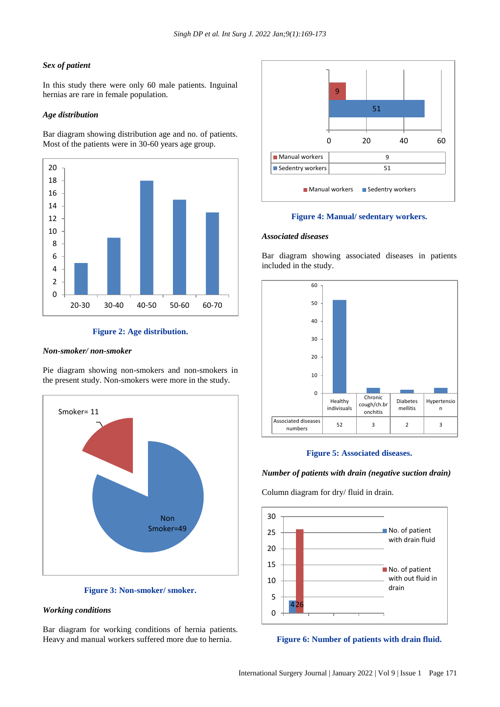#### *Sex of patient*

In this study there were only 60 male patients. Inguinal hernias are rare in female population.

#### *Age distribution*

Bar diagram showing distribution age and no. of patients. Most of the patients were in 30-60 years age group.



#### **Figure 2: Age distribution.**

#### *Non-smoker/ non-smoker*

Pie diagram showing non-smokers and non-smokers in the present study. Non-smokers were more in the study.



**Figure 3: Non-smoker/ smoker.**

#### *Working conditions*

Bar diagram for working conditions of hernia patients. Heavy and manual workers suffered more due to hernia.



#### **Figure 4: Manual/ sedentary workers.**

#### *Associated diseases*

Bar diagram showing associated diseases in patients included in the study.



#### **Figure 5: Associated diseases.**

#### *Number of patients with drain (negative suction drain)*

Column diagram for dry/ fluid in drain.



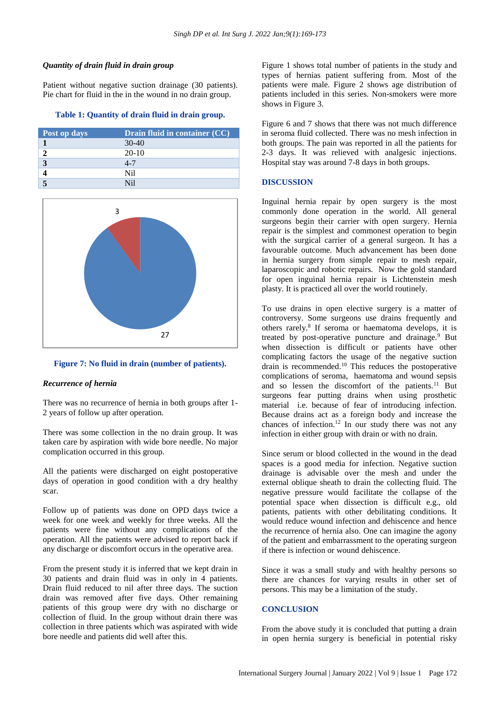# *Quantity of drain fluid in drain group*

Patient without negative suction drainage (30 patients). Pie chart for fluid in the in the wound in no drain group.

#### **Table 1: Quantity of drain fluid in drain group.**

| Post op days | <b>Drain fluid in container (CC)</b> |
|--------------|--------------------------------------|
|              | $30-40$                              |
|              | $20-10$                              |
|              | $4 - 7$                              |
|              | Nil                                  |
|              |                                      |



# **Figure 7: No fluid in drain (number of patients).**

#### *Recurrence of hernia*

There was no recurrence of hernia in both groups after 1- 2 years of follow up after operation.

There was some collection in the no drain group. It was taken care by aspiration with wide bore needle. No major complication occurred in this group.

All the patients were discharged on eight postoperative days of operation in good condition with a dry healthy scar.

Follow up of patients was done on OPD days twice a week for one week and weekly for three weeks. All the patients were fine without any complications of the operation. All the patients were advised to report back if any discharge or discomfort occurs in the operative area.

From the present study it is inferred that we kept drain in 30 patients and drain fluid was in only in 4 patients. Drain fluid reduced to nil after three days. The suction drain was removed after five days. Other remaining patients of this group were dry with no discharge or collection of fluid. In the group without drain there was collection in three patients which was aspirated with wide bore needle and patients did well after this.

Figure 1 shows total number of patients in the study and types of hernias patient suffering from. Most of the patients were male. Figure 2 shows age distribution of patients included in this series. Non-smokers were more shows in Figure 3.

Figure 6 and 7 shows that there was not much difference in seroma fluid collected. There was no mesh infection in both groups. The pain was reported in all the patients for 2-3 days. It was relieved with analgesic injections. Hospital stay was around 7-8 days in both groups.

#### **DISCUSSION**

Inguinal hernia repair by open surgery is the most commonly done operation in the world. All general surgeons begin their carrier with open surgery*.* Hernia repair is the simplest and commonest operation to begin with the surgical carrier of a general surgeon. It has a favourable outcome. Much advancement has been done in hernia surgery from simple repair to mesh repair, laparoscopic and robotic repairs. Now the gold standard for open inguinal hernia repair is Lichtenstein mesh plasty. It is practiced all over the world routinely.

To use drains in open elective surgery is a matter of controversy. Some surgeons use drains frequently and others rarely.<sup>8</sup> If seroma or haematoma develops, it is treated by post-operative puncture and drainage.<sup>9</sup> But when dissection is difficult or patients have other complicating factors the usage of the negative suction drain is recommended.<sup>10</sup> This reduces the postoperative complications of seroma, haematoma and wound sepsis and so lessen the discomfort of the patients.<sup>11</sup> But surgeons fear putting drains when using prosthetic material i.e. because of fear of introducing infection. Because drains act as a foreign body and increase the chances of infection.<sup>12</sup> In our study there was not any infection in either group with drain or with no drain.

Since serum or blood collected in the wound in the dead spaces is a good media for infection. Negative suction drainage is advisable over the mesh and under the external oblique sheath to drain the collecting fluid. The negative pressure would facilitate the collapse of the potential space when dissection is difficult e.g., old patients, patients with other debilitating conditions. It would reduce wound infection and dehiscence and hence the recurrence of hernia also. One can imagine the agony of the patient and embarrassment to the operating surgeon if there is infection or wound dehiscence.

Since it was a small study and with healthy persons so there are chances for varying results in other set of persons. This may be a limitation of the study.

#### **CONCLUSION**

From the above study it is concluded that putting a drain in open hernia surgery is beneficial in potential risky